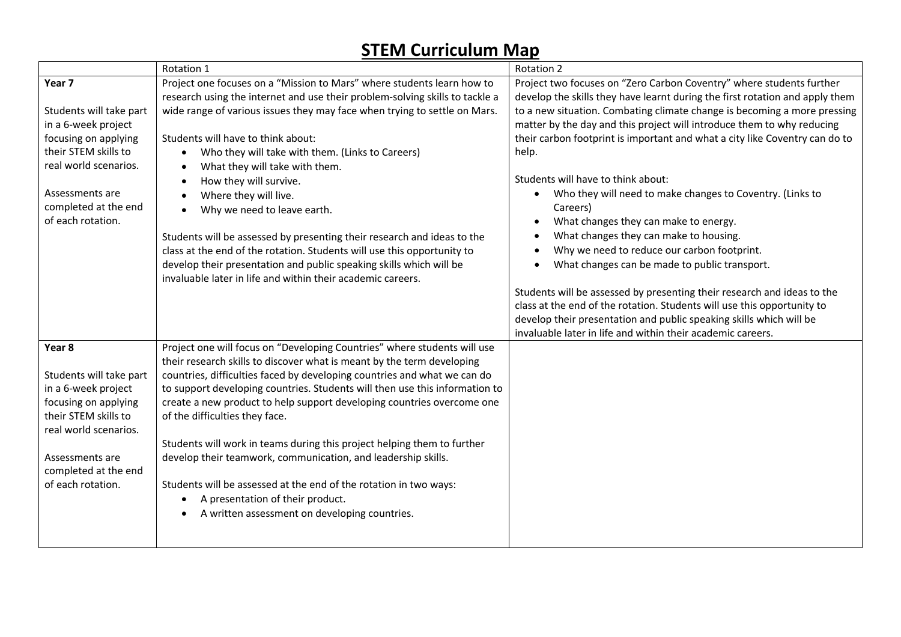## **STEM Curriculum Map**

|                                                                                                                                                                                                   | Rotation 1                                                                                                                                                                                                                                                                                                                                                                                                                                                                                                                                                                                                                                                                                                                                                              | Rotation 2                                                                                                                                                                                                                                                                                                                                                                                                                                                                                                                                                                                                                                                                                                                                                                                                                                                                                                                                                                                                                 |
|---------------------------------------------------------------------------------------------------------------------------------------------------------------------------------------------------|-------------------------------------------------------------------------------------------------------------------------------------------------------------------------------------------------------------------------------------------------------------------------------------------------------------------------------------------------------------------------------------------------------------------------------------------------------------------------------------------------------------------------------------------------------------------------------------------------------------------------------------------------------------------------------------------------------------------------------------------------------------------------|----------------------------------------------------------------------------------------------------------------------------------------------------------------------------------------------------------------------------------------------------------------------------------------------------------------------------------------------------------------------------------------------------------------------------------------------------------------------------------------------------------------------------------------------------------------------------------------------------------------------------------------------------------------------------------------------------------------------------------------------------------------------------------------------------------------------------------------------------------------------------------------------------------------------------------------------------------------------------------------------------------------------------|
| Year 7<br>Students will take part<br>in a 6-week project<br>focusing on applying<br>their STEM skills to<br>real world scenarios.<br>Assessments are<br>completed at the end<br>of each rotation. | Project one focuses on a "Mission to Mars" where students learn how to<br>research using the internet and use their problem-solving skills to tackle a<br>wide range of various issues they may face when trying to settle on Mars.<br>Students will have to think about:<br>Who they will take with them. (Links to Careers)<br>What they will take with them.<br>How they will survive.<br>$\bullet$<br>Where they will live.<br>$\bullet$<br>Why we need to leave earth.<br>Students will be assessed by presenting their research and ideas to the<br>class at the end of the rotation. Students will use this opportunity to<br>develop their presentation and public speaking skills which will be<br>invaluable later in life and within their academic careers. | Project two focuses on "Zero Carbon Coventry" where students further<br>develop the skills they have learnt during the first rotation and apply them<br>to a new situation. Combating climate change is becoming a more pressing<br>matter by the day and this project will introduce them to why reducing<br>their carbon footprint is important and what a city like Coventry can do to<br>help.<br>Students will have to think about:<br>Who they will need to make changes to Coventry. (Links to<br>$\bullet$<br>Careers)<br>What changes they can make to energy.<br>$\bullet$<br>What changes they can make to housing.<br>Why we need to reduce our carbon footprint.<br>What changes can be made to public transport.<br>Students will be assessed by presenting their research and ideas to the<br>class at the end of the rotation. Students will use this opportunity to<br>develop their presentation and public speaking skills which will be<br>invaluable later in life and within their academic careers. |
| Year 8<br>Students will take part<br>in a 6-week project<br>focusing on applying<br>their STEM skills to<br>real world scenarios.<br>Assessments are<br>completed at the end<br>of each rotation. | Project one will focus on "Developing Countries" where students will use<br>their research skills to discover what is meant by the term developing<br>countries, difficulties faced by developing countries and what we can do<br>to support developing countries. Students will then use this information to<br>create a new product to help support developing countries overcome one<br>of the difficulties they face.<br>Students will work in teams during this project helping them to further<br>develop their teamwork, communication, and leadership skills.<br>Students will be assessed at the end of the rotation in two ways:<br>A presentation of their product.<br>$\bullet$<br>A written assessment on developing countries.<br>$\bullet$               |                                                                                                                                                                                                                                                                                                                                                                                                                                                                                                                                                                                                                                                                                                                                                                                                                                                                                                                                                                                                                            |